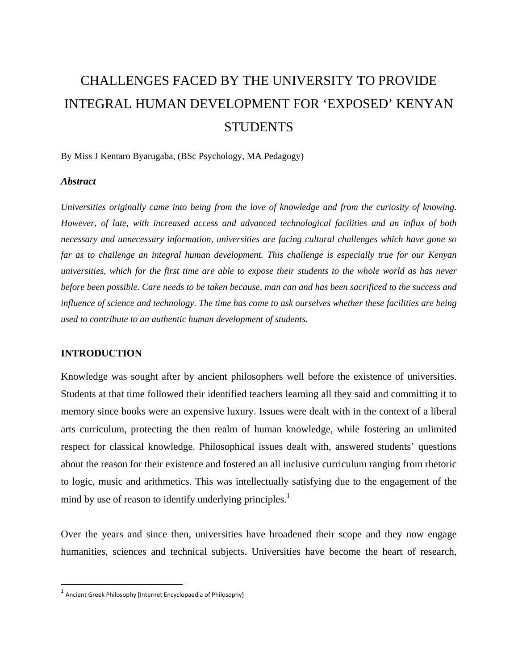# CHALLENGES FACED BY THE UNIVERSITY TO PROVIDE INTEGRAL HUMAN DEVELOPMENT FOR 'EXPOSED' KENYAN **STUDENTS**

By Miss J Kentaro Byarugaba, (BSc Psychology, MA Pedagogy)

#### *Abstract*

*Universities originally came into being from the love of knowledge and from the curiosity of knowing. However, of late, with increased access and advanced technological facilities and an influx of both necessary and unnecessary information, universities are facing cultural challenges which have gone so far as to challenge an integral human development. This challenge is especially true for our Kenyan universities, which for the first time are able to expose their students to the whole world as has never before been possible. Care needs to be taken because, man can and has been sacrificed to the success and influence of science and technology. The time has come to ask ourselves whether these facilities are being used to contribute to an authentic human development of students.* 

## **INTRODUCTION**

Knowledge was sought after by ancient philosophers well before the existence of universities. Students at that time followed their identified teachers learning all they said and committing it to memory since books were an expensive luxury. Issues were dealt with in the context of a liberal arts curriculum, protecting the then realm of human knowledge, while fostering an unlimited respect for classical knowledge. Philosophical issues dealt with, answered students' questions about the reason for their existence and fostered an all inclusive curriculum ranging from rhetoric to logic, music and arithmetics. This was intellectually satisfying due to the engagement of the mind by use of reason to identify underlying principles. $<sup>1</sup>$ </sup>

Over the years and since then, universities have broadened their scope and they now engage humanities, sciences and technical subjects. Universities have become the heart of research,

 $^1$  Ancient Greek Philosophy [Internet Encyclopaedia of Philosophy]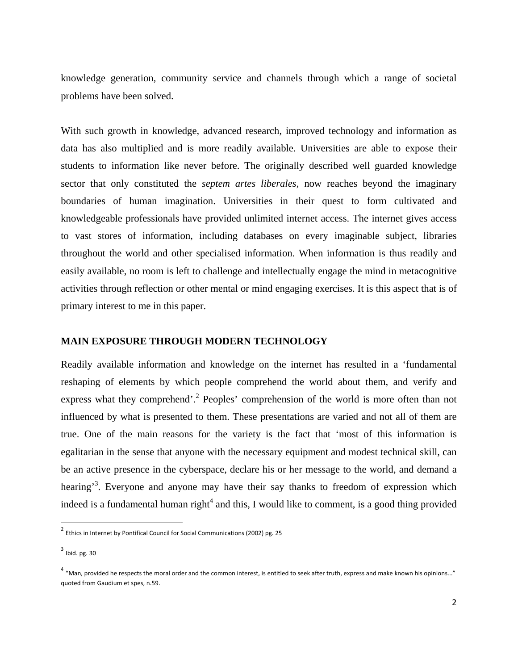knowledge generation, community service and channels through which a range of societal problems have been solved.

With such growth in knowledge, advanced research, improved technology and information as data has also multiplied and is more readily available. Universities are able to expose their students to information like never before. The originally described well guarded knowledge sector that only constituted the *septem artes liberales,* now reaches beyond the imaginary boundaries of human imagination. Universities in their quest to form cultivated and knowledgeable professionals have provided unlimited internet access. The internet gives access to vast stores of information, including databases on every imaginable subject, libraries throughout the world and other specialised information. When information is thus readily and easily available, no room is left to challenge and intellectually engage the mind in metacognitive activities through reflection or other mental or mind engaging exercises. It is this aspect that is of primary interest to me in this paper.

# **MAIN EXPOSURE THROUGH MODERN TECHNOLOGY**

Readily available information and knowledge on the internet has resulted in a 'fundamental reshaping of elements by which people comprehend the world about them, and verify and express what they comprehend'.<sup>2</sup> Peoples' comprehension of the world is more often than not influenced by what is presented to them. These presentations are varied and not all of them are true. One of the main reasons for the variety is the fact that 'most of this information is egalitarian in the sense that anyone with the necessary equipment and modest technical skill, can be an active presence in the cyberspace, declare his or her message to the world, and demand a hearing<sup>3</sup>. Everyone and anyone may have their say thanks to freedom of expression which indeed is a fundamental human right<sup>4</sup> and this, I would like to comment, is a good thing provided

 $^2$  Ethics in Internet by Pontifical Council for Social Communications (2002) pg. 25

 $3$  Ibid. pg. 30

 $4$  "Man, provided he respects the moral order and the common interest, is entitled to seek after truth, express and make known his opinions..." quoted from Gaudium et spes, n.59.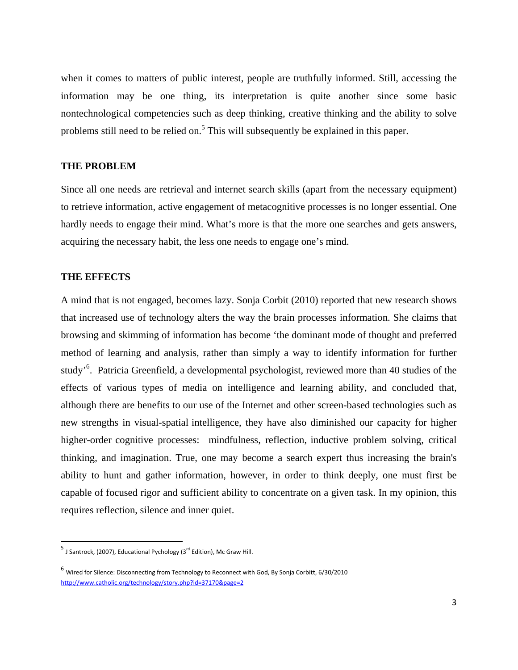when it comes to matters of public interest, people are truthfully informed. Still, accessing the information may be one thing, its interpretation is quite another since some basic nontechnological competencies such as deep thinking, creative thinking and the ability to solve problems still need to be relied on.<sup>5</sup> This will subsequently be explained in this paper.

#### **THE PROBLEM**

Since all one needs are retrieval and internet search skills (apart from the necessary equipment) to retrieve information, active engagement of metacognitive processes is no longer essential. One hardly needs to engage their mind. What's more is that the more one searches and gets answers, acquiring the necessary habit, the less one needs to engage one's mind.

#### **THE EFFECTS**

A mind that is not engaged, becomes lazy. Sonja Corbit (2010) reported that new research shows that increased use of technology alters the way the brain processes information. She claims that browsing and skimming of information has become 'the dominant mode of thought and preferred method of learning and analysis, rather than simply a way to identify information for further study<sup>'6</sup>. Patricia Greenfield, a developmental psychologist, reviewed more than 40 studies of the effects of various types of media on intelligence and learning ability, and concluded that, although there are benefits to our use of the Internet and other screen-based technologies such as new strengths in visual-spatial intelligence, they have also diminished our capacity for higher higher-order cognitive processes: mindfulness, reflection, inductive problem solving, critical thinking, and imagination. True, one may become a search expert thus increasing the brain's ability to hunt and gather information, however, in order to think deeply, one must first be capable of focused rigor and sufficient ability to concentrate on a given task. In my opinion, this requires reflection, silence and inner quiet.

 $^5$  J Santrock, (2007), Educational Pychology (3 $^{\text{rd}}$  Edition), Mc Graw Hill.

<sup>6</sup> Wired for Silence: Disconnecting from Technology to Reconnect with God, By Sonja Corbitt, 6/30/2010 http://www.catholic.org/technology/story.php?id=37170&page=2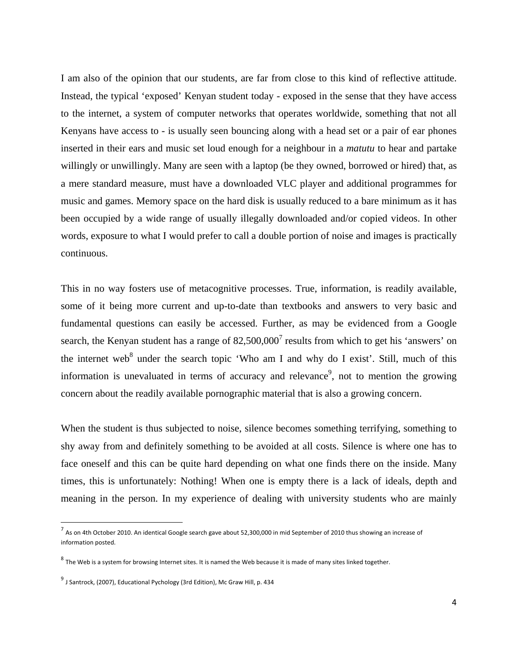I am also of the opinion that our students, are far from close to this kind of reflective attitude. Instead, the typical 'exposed' Kenyan student today - exposed in the sense that they have access to the internet, a system of computer networks that operates worldwide, something that not all Kenyans have access to - is usually seen bouncing along with a head set or a pair of ear phones inserted in their ears and music set loud enough for a neighbour in a *matutu* to hear and partake willingly or unwillingly. Many are seen with a laptop (be they owned, borrowed or hired) that, as a mere standard measure, must have a downloaded VLC player and additional programmes for music and games. Memory space on the hard disk is usually reduced to a bare minimum as it has been occupied by a wide range of usually illegally downloaded and/or copied videos. In other words, exposure to what I would prefer to call a double portion of noise and images is practically continuous.

This in no way fosters use of metacognitive processes. True, information, is readily available, some of it being more current and up-to-date than textbooks and answers to very basic and fundamental questions can easily be accessed. Further, as may be evidenced from a Google search, the Kenyan student has a range of  $82,500,000^7$  results from which to get his 'answers' on the internet web<sup>8</sup> under the search topic 'Who am I and why do I exist'. Still, much of this information is unevaluated in terms of accuracy and relevance<sup>9</sup>, not to mention the growing concern about the readily available pornographic material that is also a growing concern.

When the student is thus subjected to noise, silence becomes something terrifying, something to shy away from and definitely something to be avoided at all costs. Silence is where one has to face oneself and this can be quite hard depending on what one finds there on the inside. Many times, this is unfortunately: Nothing! When one is empty there is a lack of ideals, depth and meaning in the person. In my experience of dealing with university students who are mainly

 $^7$  As on 4th October 2010. An identical Google search gave about 52,300,000 in mid September of 2010 thus showing an increase of information posted.

 $8$  The Web is a system for browsing Internet sites. It is named the Web because it is made of many sites linked together.

 $9$  J Santrock, (2007), Educational Pychology (3rd Edition), Mc Graw Hill, p. 434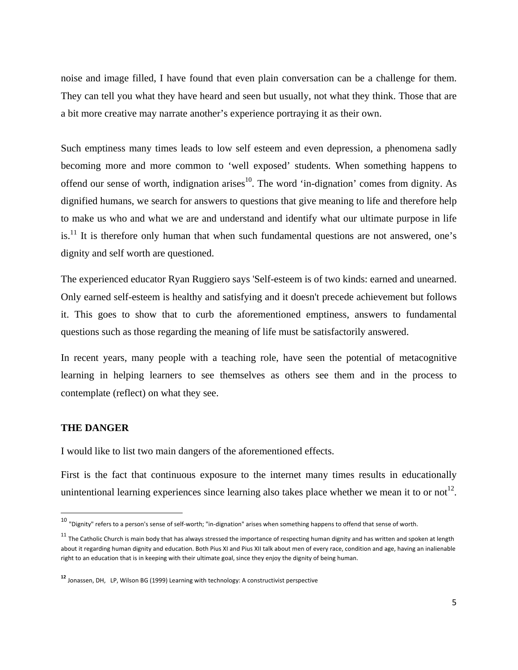noise and image filled, I have found that even plain conversation can be a challenge for them. They can tell you what they have heard and seen but usually, not what they think. Those that are a bit more creative may narrate another's experience portraying it as their own.

Such emptiness many times leads to low self esteem and even depression, a phenomena sadly becoming more and more common to 'well exposed' students. When something happens to offend our sense of worth, indignation arises<sup>10</sup>. The word 'in-dignation' comes from dignity. As dignified humans, we search for answers to questions that give meaning to life and therefore help to make us who and what we are and understand and identify what our ultimate purpose in life is.<sup>11</sup> It is therefore only human that when such fundamental questions are not answered, one's dignity and self worth are questioned.

The experienced educator Ryan Ruggiero says 'Self-esteem is of two kinds: earned and unearned. Only earned self-esteem is healthy and satisfying and it doesn't precede achievement but follows it. This goes to show that to curb the aforementioned emptiness, answers to fundamental questions such as those regarding the meaning of life must be satisfactorily answered.

In recent years, many people with a teaching role, have seen the potential of metacognitive learning in helping learners to see themselves as others see them and in the process to contemplate (reflect) on what they see.

# **THE DANGER**

I would like to list two main dangers of the aforementioned effects.

First is the fact that continuous exposure to the internet many times results in educationally unintentional learning experiences since learning also takes place whether we mean it to or not<sup>12</sup>.

<sup>10 &</sup>quot;Dignity" refers to a person's sense of self-worth; "in-dignation" arises when something happens to offend that sense of worth.

 $11$  The Catholic Church is main body that has always stressed the importance of respecting human dignity and has written and spoken at length about it regarding human dignity and education. Both Pius XI and Pius XII talk about men of every race, condition and age, having an inalienable right to an education that is in keeping with their ultimate goal, since they enjoy the dignity of being human.

**<sup>12</sup>** Jonassen, DH, LP, Wilson BG (1999) Learning with technology: A constructivist perspective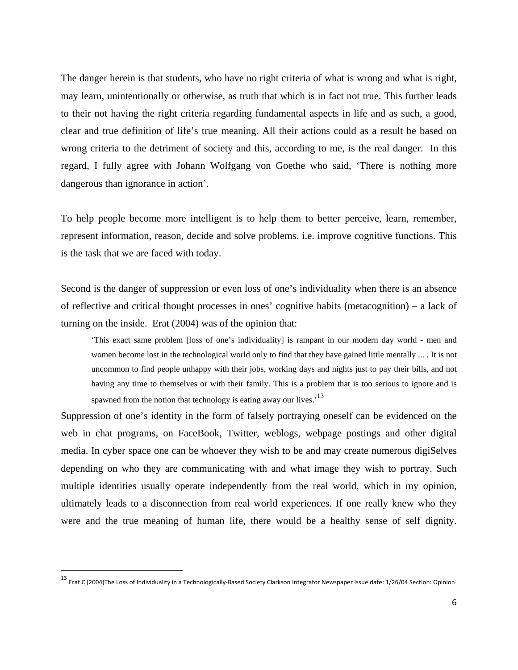The danger herein is that students, who have no right criteria of what is wrong and what is right, may learn, unintentionally or otherwise, as truth that which is in fact not true. This further leads to their not having the right criteria regarding fundamental aspects in life and as such, a good, clear and true definition of life's true meaning. All their actions could as a result be based on wrong criteria to the detriment of society and this, according to me, is the real danger. In this regard, I fully agree with Johann Wolfgang von Goethe who said, 'There is nothing more dangerous than ignorance in action'.

To help people become more intelligent is to help them to better perceive, learn, remember, represent information, reason, decide and solve problems. i.e. improve cognitive functions. This is the task that we are faced with today.

Second is the danger of suppression or even loss of one's individuality when there is an absence of reflective and critical thought processes in ones' cognitive habits (metacognition) – a lack of turning on the inside. Erat (2004) was of the opinion that:

'This exact same problem [loss of one's individuality] is rampant in our modern day world - men and women become lost in the technological world only to find that they have gained little mentally ... . It is not uncommon to find people unhappy with their jobs, working days and nights just to pay their bills, and not having any time to themselves or with their family. This is a problem that is too serious to ignore and is spawned from the notion that technology is eating away our lives.<sup>13</sup>

Suppression of one's identity in the form of falsely portraying oneself can be evidenced on the web in chat programs, on FaceBook, Twitter, weblogs, webpage postings and other digital media. In cyber space one can be whoever they wish to be and may create numerous digiSelves depending on who they are communicating with and what image they wish to portray. Such multiple identities usually operate independently from the real world, which in my opinion, ultimately leads to a disconnection from real world experiences. If one really knew who they were and the true meaning of human life, there would be a healthy sense of self dignity.

<sup>13</sup> Erat <sup>C</sup> (2004)The Loss of Individuality in <sup>a</sup> Technologically‐Based Society Clarkson Integrator Newspaper Issue date: 1/26/04 Section: Opinion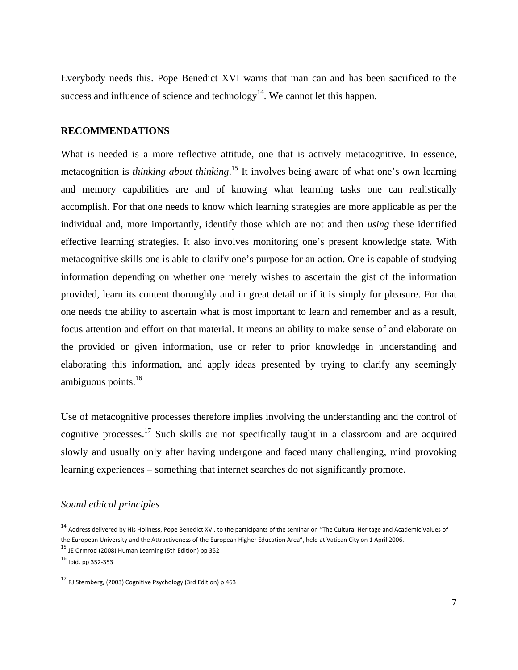Everybody needs this. Pope Benedict XVI warns that man can and has been sacrificed to the success and influence of science and technology<sup>14</sup>. We cannot let this happen.

## **RECOMMENDATIONS**

What is needed is a more reflective attitude, one that is actively metacognitive. In essence, metacognition is *thinking about thinking*. 15 It involves being aware of what one's own learning and memory capabilities are and of knowing what learning tasks one can realistically accomplish. For that one needs to know which learning strategies are more applicable as per the individual and, more importantly, identify those which are not and then *using* these identified effective learning strategies. It also involves monitoring one's present knowledge state. With metacognitive skills one is able to clarify one's purpose for an action. One is capable of studying information depending on whether one merely wishes to ascertain the gist of the information provided, learn its content thoroughly and in great detail or if it is simply for pleasure. For that one needs the ability to ascertain what is most important to learn and remember and as a result, focus attention and effort on that material. It means an ability to make sense of and elaborate on the provided or given information, use or refer to prior knowledge in understanding and elaborating this information, and apply ideas presented by trying to clarify any seemingly ambiguous points. $16$ 

Use of metacognitive processes therefore implies involving the understanding and the control of cognitive processes.17 Such skills are not specifically taught in a classroom and are acquired slowly and usually only after having undergone and faced many challenging, mind provoking learning experiences – something that internet searches do not significantly promote.

## *Sound ethical principles*

<sup>14</sup> Address delivered by His Holiness, Pope Benedict XVI, to the participants of the seminar on "The Cultural Heritage and Academic Values of the European University and the Attractiveness of the European Higher Education Area", held at Vatican City on 1 April 2006.

<sup>15</sup> JE Ormrod (2008) Human Learning (5th Edition) pp <sup>352</sup>

 $16$  Ibid. pp 352-353

<sup>17</sup> RJ Sternberg, (2003) Cognitive Psychology (3rd Edition) <sup>p</sup> <sup>463</sup>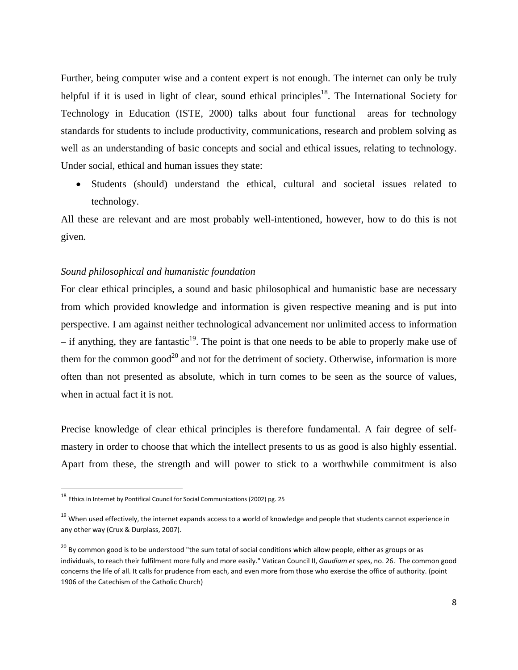Further, being computer wise and a content expert is not enough. The internet can only be truly helpful if it is used in light of clear, sound ethical principles<sup>18</sup>. The International Society for Technology in Education (ISTE, 2000) talks about four functional areas for technology standards for students to include productivity, communications, research and problem solving as well as an understanding of basic concepts and social and ethical issues, relating to technology. Under social, ethical and human issues they state:

• Students (should) understand the ethical, cultural and societal issues related to technology.

All these are relevant and are most probably well-intentioned, however, how to do this is not given.

## *Sound philosophical and humanistic foundation*

For clear ethical principles, a sound and basic philosophical and humanistic base are necessary from which provided knowledge and information is given respective meaning and is put into perspective. I am against neither technological advancement nor unlimited access to information  $-$  if anything, they are fantastic<sup>19</sup>. The point is that one needs to be able to properly make use of them for the common good<sup>20</sup> and not for the detriment of society. Otherwise, information is more often than not presented as absolute, which in turn comes to be seen as the source of values, when in actual fact it is not.

Precise knowledge of clear ethical principles is therefore fundamental. A fair degree of selfmastery in order to choose that which the intellect presents to us as good is also highly essential. Apart from these, the strength and will power to stick to a worthwhile commitment is also

<sup>18</sup> Ethics in Internet by Pontifical Council for Social Communications (2002) pg. <sup>25</sup>

<sup>&</sup>lt;sup>19</sup> When used effectively, the internet expands access to a world of knowledge and people that students cannot experience in any other way (Crux & Durplass, 2007).

<sup>&</sup>lt;sup>20</sup> Bv common good is to be understood "the sum total of social conditions which allow people, either as groups or as individuals, to reach their fulfilment more fully and more easily." Vatican Council II, *Gaudium et spes*, no. 26. The common good concerns the life of all. It calls for prudence from each, and even more from those who exercise the office of authority. (point 1906 of the Catechism of the Catholic Church)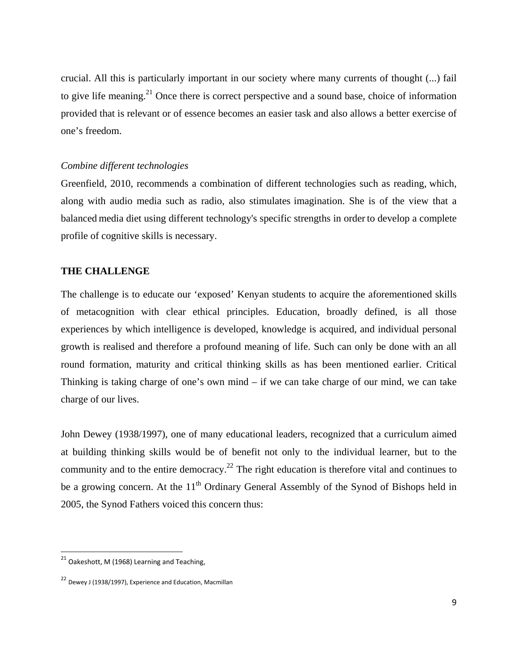crucial. All this is particularly important in our society where many currents of thought (...) fail to give life meaning.<sup>21</sup> Once there is correct perspective and a sound base, choice of information provided that is relevant or of essence becomes an easier task and also allows a better exercise of one's freedom.

## *Combine different technologies*

Greenfield, 2010, recommends a combination of different technologies such as reading, which, along with audio media such as radio, also stimulates imagination. She is of the view that a balanced media diet using different technology's specific strengths in order to develop a complete profile of cognitive skills is necessary.

## **THE CHALLENGE**

The challenge is to educate our 'exposed' Kenyan students to acquire the aforementioned skills of metacognition with clear ethical principles. Education, broadly defined, is all those experiences by which intelligence is developed, knowledge is acquired, and individual personal growth is realised and therefore a profound meaning of life. Such can only be done with an all round formation, maturity and critical thinking skills as has been mentioned earlier. Critical Thinking is taking charge of one's own mind – if we can take charge of our mind, we can take charge of our lives.

John Dewey (1938/1997), one of many educational leaders, recognized that a curriculum aimed at building thinking skills would be of benefit not only to the individual learner, but to the community and to the entire democracy.<sup>22</sup> The right education is therefore vital and continues to be a growing concern. At the  $11<sup>th</sup>$  Ordinary General Assembly of the Synod of Bishops held in 2005, the Synod Fathers voiced this concern thus:

 $21$  Oakeshott, M (1968) Learning and Teaching,

<sup>22</sup> Dewey <sup>J</sup> (1938/1997), Experience and Education, Macmillan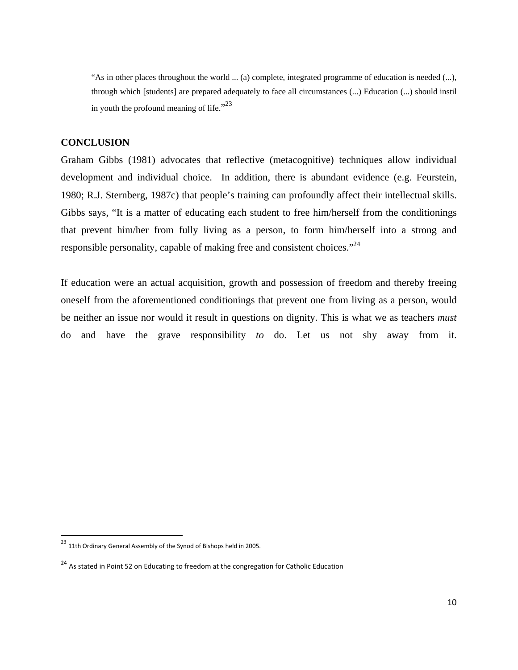"As in other places throughout the world ... (a) complete, integrated programme of education is needed (...), through which [students] are prepared adequately to face all circumstances (...) Education (...) should instil in youth the profound meaning of life." $^{23}$ 

# **CONCLUSION**

Graham Gibbs (1981) advocates that reflective (metacognitive) techniques allow individual development and individual choice. In addition, there is abundant evidence (e.g. Feurstein, 1980; R.J. Sternberg, 1987c) that people's training can profoundly affect their intellectual skills. Gibbs says, "It is a matter of educating each student to free him/herself from the conditionings that prevent him/her from fully living as a person, to form him/herself into a strong and responsible personality, capable of making free and consistent choices."<sup>24</sup>

If education were an actual acquisition, growth and possession of freedom and thereby freeing oneself from the aforementioned conditionings that prevent one from living as a person, would be neither an issue nor would it result in questions on dignity. This is what we as teachers *must* do and have the grave responsibility *to* do. Let us not shy away from it.

 $^{23}$  11th Ordinary General Assembly of the Synod of Bishops held in 2005.

<sup>&</sup>lt;sup>24</sup> As stated in Point 52 on Educating to freedom at the congregation for Catholic Education